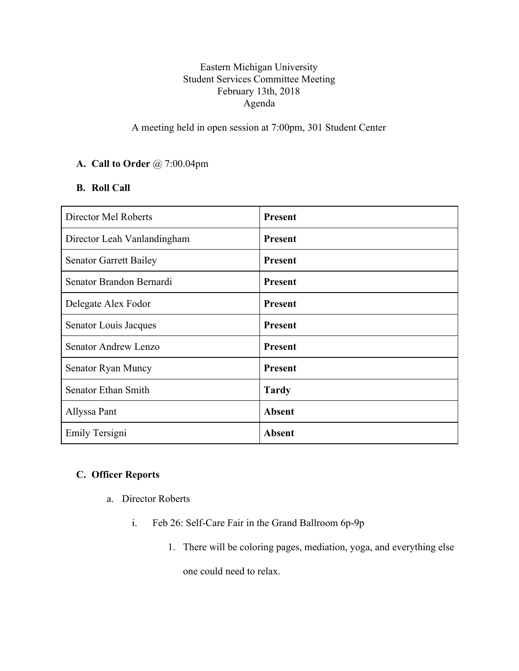## Eastern Michigan University Student Services Committee Meeting February 13th, 2018 Agenda

# A meeting held in open session at 7:00pm, 301 Student Center

### **A. Call to Order** @ 7:00.04pm

### **B. Roll Call**

| Director Mel Roberts          | <b>Present</b> |
|-------------------------------|----------------|
| Director Leah Vanlandingham   | <b>Present</b> |
| <b>Senator Garrett Bailey</b> | <b>Present</b> |
| Senator Brandon Bernardi      | <b>Present</b> |
| Delegate Alex Fodor           | <b>Present</b> |
| Senator Louis Jacques         | <b>Present</b> |
| Senator Andrew Lenzo          | <b>Present</b> |
| Senator Ryan Muncy            | <b>Present</b> |
| Senator Ethan Smith           | <b>Tardy</b>   |
| Allyssa Pant                  | Absent         |
| Emily Tersigni                | <b>Absent</b>  |

## **C. Officer Reports**

- a. Director Roberts
	- i. Feb 26: Self-Care Fair in the Grand Ballroom 6p-9p
		- 1. There will be coloring pages, mediation, yoga, and everything else one could need to relax.